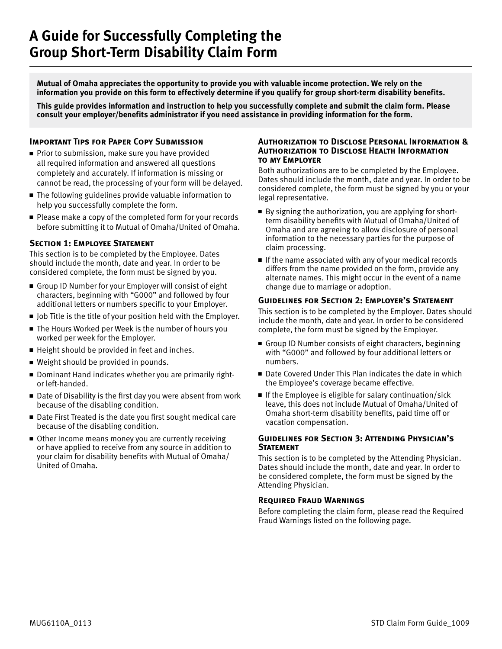**Mutual of Omaha appreciates the opportunity to provide you with valuable income protection. We rely on the information you provide on this form to effectively determine if you qualify for group short-term disability benefits.**

**This guide provides information and instruction to help you successfully complete and submit the claim form. Please consult your employer/benefits administrator if you need assistance in providing information for the form.**

### **IMPORTANT TIPS FOR PAPER COPY SUBMISSION**

- $\blacksquare$  Prior to submission, make sure you have provided all required information and answered all questions completely and accurately. If information is missing or cannot be read, the processing of your form will be delayed.
- $\blacksquare$  The following guidelines provide valuable information to help you successfully complete the form.
- Please make a copy of the completed form for your records before submitting it to Mutual of Omaha/United of Omaha.

### **Section 1: Employee Statement**

This section is to be completed by the Employee. Dates should include the month, date and year. In order to be considered complete, the form must be signed by you.

- <sup>n</sup> Group ID Number for your Employer will consist of eight characters, beginning with "G000" and followed by four additional letters or numbers specific to your Employer.
- $\blacksquare$  Job Title is the title of your position held with the Employer.
- The Hours Worked per Week is the number of hours you worked per week for the Employer.
- $\blacksquare$  Height should be provided in feet and inches.
- Weight should be provided in pounds.
- Dominant Hand indicates whether you are primarily rightor left-handed.
- $\blacksquare$  Date of Disability is the first day you were absent from work because of the disabling condition.
- Date First Treated is the date you first sought medical care because of the disabling condition.
- $\blacksquare$  Other Income means money you are currently receiving or have applied to receive from any source in addition to your claim for disability benefits with Mutual of Omaha/ United of Omaha.

#### **Authorization to Disclose Personal Information & Authorization to Disclose Health Information to my Employer**

Both authorizations are to be completed by the Employee. Dates should include the month, date and year. In order to be considered complete, the form must be signed by you or your legal representative.

- $\blacksquare$  By signing the authorization, you are applying for shortterm disability benefits with Mutual of Omaha/United of Omaha and are agreeing to allow disclosure of personal information to the necessary parties for the purpose of claim processing.
- $\blacksquare$  If the name associated with any of your medical records differs from the name provided on the form, provide any alternate names. This might occur in the event of a name change due to marriage or adoption.

#### **Guidelines for Section 2: Employer's Statement**

This section is to be completed by the Employer. Dates should include the month, date and year. In order to be considered complete, the form must be signed by the Employer.

- Group ID Number consists of eight characters, beginning with "G000" and followed by four additional letters or numbers.
- Date Covered Under This Plan indicates the date in which the Employee's coverage became effective.
- $\blacksquare$  If the Employee is eligible for salary continuation/sick leave, this does not include Mutual of Omaha/United of Omaha short-term disability benefits, paid time off or vacation compensation.

### **Guidelines for Section 3: Attending Physician's Statement**

This section is to be completed by the Attending Physician. Dates should include the month, date and year. In order to be considered complete, the form must be signed by the Attending Physician.

#### **Required Fraud Warnings**

Before completing the claim form, please read the Required Fraud Warnings listed on the following page.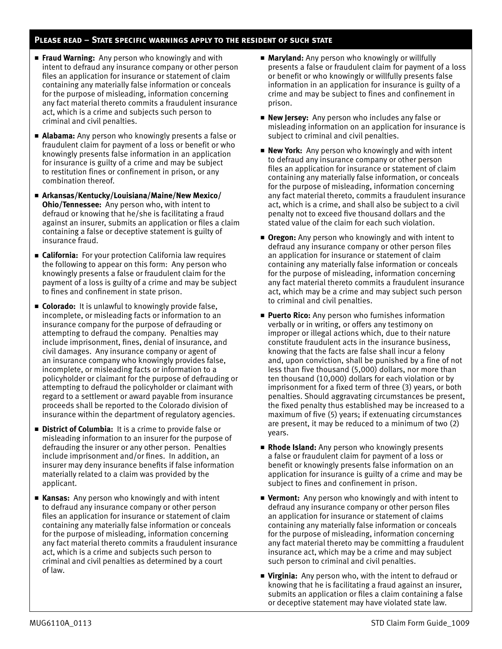## **Please read – State specific warnings apply to the resident of such state**

- **Fraud Warning:** Any person who knowingly and with intent to defraud any insurance company or other person files an application for insurance or statement of claim containing any materially false information or conceals for the purpose of misleading, information concerning any fact material thereto commits a fraudulent insurance act, which is a crime and subjects such person to criminal and civil penalties.
- **Alabama:** Any person who knowingly presents a false or fraudulent claim for payment of a loss or benefit or who knowingly presents false information in an application for insurance is guilty of a crime and may be subject to restitution fines or confinement in prison, or any combination thereof.
- Arkansas/Kentucky/Louisiana/Maine/New Mexico/ **Ohio/Tennessee:** Any person who, with intent to defraud or knowing that he/she is facilitating a fraud against an insurer, submits an application or files a claim containing a false or deceptive statement is guilty of insurance fraud.
- **Exalifornia:** For your protection California law requires the following to appear on this form: Any person who knowingly presents a false or fraudulent claim for the payment of a loss is guilty of a crime and may be subject to fines and confinement in state prison.
- **Colorado:** It is unlawful to knowingly provide false, incomplete, or misleading facts or information to an insurance company for the purpose of defrauding or attempting to defraud the company. Penalties may include imprisonment, fines, denial of insurance, and civil damages. Any insurance company or agent of an insurance company who knowingly provides false, incomplete, or misleading facts or information to a policyholder or claimant for the purpose of defrauding or attempting to defraud the policyholder or claimant with regard to a settlement or award payable from insurance proceeds shall be reported to the Colorado division of insurance within the department of regulatory agencies.
- **E** District of Columbia: It is a crime to provide false or misleading information to an insurer for the purpose of defrauding the insurer or any other person. Penalties include imprisonment and/or fines. In addition, an insurer may deny insurance benefits if false information materially related to a claim was provided by the applicant.
- **Kansas:** Any person who knowingly and with intent to defraud any insurance company or other person files an application for insurance or statement of claim containing any materially false information or conceals for the purpose of misleading, information concerning any fact material thereto commits a fraudulent insurance act, which is a crime and subjects such person to criminal and civil penalties as determined by a court of law.
- **Maryland:** Any person who knowingly or willfully presents a false or fraudulent claim for payment of a loss or benefit or who knowingly or willfully presents false information in an application for insurance is guilty of a crime and may be subject to fines and confinement in prison.
- **New Jersey:** Any person who includes any false or misleading information on an application for insurance is subject to criminal and civil penalties.
- **New York:** Any person who knowingly and with intent to defraud any insurance company or other person files an application for insurance or statement of claim containing any materially false information, or conceals for the purpose of misleading, information concerning any fact material thereto, commits a fraudulent insurance act, which is a crime, and shall also be subject to a civil penalty not to exceed five thousand dollars and the stated value of the claim for each such violation.
- **Oregon:** Any person who knowingly and with intent to defraud any insurance company or other person files an application for insurance or statement of claim containing any materially false information or conceals for the purpose of misleading, information concerning any fact material thereto commits a fraudulent insurance act, which may be a crime and may subject such person to criminal and civil penalties.
- **Puerto Rico:** Any person who furnishes information verbally or in writing, or offers any testimony on improper or illegal actions which, due to their nature constitute fraudulent acts in the insurance business, knowing that the facts are false shall incur a felony and, upon conviction, shall be punished by a fine of not less than five thousand (5,000) dollars, nor more than ten thousand (10,000) dollars for each violation or by imprisonment for a fixed term of three (3) years, or both penalties. Should aggravating circumstances be present, the fixed penalty thus established may be increased to a maximum of five (5) years; if extenuating circumstances are present, it may be reduced to a minimum of two (2) years.
- **Rhode Island:** Any person who knowingly presents a false or fraudulent claim for payment of a loss or benefit or knowingly presents false information on an application for insurance is guilty of a crime and may be subject to fines and confinement in prison.
- **F** Vermont: Any person who knowingly and with intent to defraud any insurance company or other person files an application for insurance or statement of claims containing any materially false information or conceals for the purpose of misleading, information concerning any fact material thereto may be committing a fraudulent insurance act, which may be a crime and may subject such person to criminal and civil penalties.
- **Virginia:** Any person who, with the intent to defraud or knowing that he is facilitating a fraud against an insurer, submits an application or files a claim containing a false or deceptive statement may have violated state law.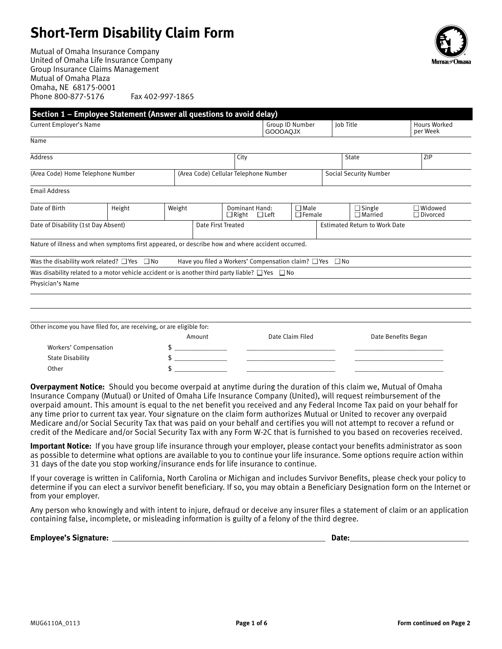# **Short-Term Disability Claim Form**

Mutual of Omaha Insurance Company United of Omaha Life Insurance Company Group Insurance Claims Management Mutual of Omaha Plaza Omaha, NE 68175-0001 Phone 800-877-5176 Fax 402-997-1865



|                                     | Section 1 - Employee Statement (Answer all questions to avoid delay)                                      |        |                                       |                                |                                                                    |                              |  |                                      |                                 |  |
|-------------------------------------|-----------------------------------------------------------------------------------------------------------|--------|---------------------------------------|--------------------------------|--------------------------------------------------------------------|------------------------------|--|--------------------------------------|---------------------------------|--|
| Current Employer's Name             |                                                                                                           |        |                                       |                                | Group ID Number<br><b>GOOOAQJX</b>                                 |                              |  | <b>Iob Title</b>                     | <b>Hours Worked</b><br>per Week |  |
| Name                                |                                                                                                           |        |                                       |                                |                                                                    |                              |  |                                      |                                 |  |
| <b>Address</b>                      |                                                                                                           |        |                                       | City                           |                                                                    |                              |  | State                                | ZIP                             |  |
| (Area Code) Home Telephone Number   |                                                                                                           |        | (Area Code) Cellular Telephone Number |                                |                                                                    |                              |  | <b>Social Security Number</b>        |                                 |  |
| <b>Email Address</b>                |                                                                                                           |        |                                       |                                |                                                                    |                              |  |                                      |                                 |  |
| Date of Birth                       | Height                                                                                                    | Weight |                                       | Dominant Hand:<br>$\Box$ Right | $\Box$ Left                                                        | $\Box$ Male<br>$\Box$ Female |  | $\Box$ Single<br>$\Box$ Married      | □Widowed<br>$\Box$ Divorced     |  |
| Date of Disability (1st Day Absent) |                                                                                                           |        |                                       | Date First Treated             |                                                                    |                              |  | <b>Estimated Return to Work Date</b> |                                 |  |
|                                     | Nature of illness and when symptoms first appeared, or describe how and where accident occurred.          |        |                                       |                                |                                                                    |                              |  |                                      |                                 |  |
|                                     | Was the disability work related? $\Box$ Yes $\Box$ No                                                     |        |                                       |                                | Have you filed a Workers' Compensation claim? $\Box$ Yes $\Box$ No |                              |  |                                      |                                 |  |
|                                     | Was disability related to a motor vehicle accident or is another third party liable? $\Box$ Yes $\Box$ No |        |                                       |                                |                                                                    |                              |  |                                      |                                 |  |
| Physician's Name                    |                                                                                                           |        |                                       |                                |                                                                    |                              |  |                                      |                                 |  |
|                                     |                                                                                                           |        |                                       |                                |                                                                    |                              |  |                                      |                                 |  |
|                                     |                                                                                                           |        |                                       |                                |                                                                    |                              |  |                                      |                                 |  |
|                                     | Other income you have filed for, are receiving, or are eligible for:                                      |        |                                       |                                |                                                                    |                              |  |                                      |                                 |  |
|                                     |                                                                                                           |        | Amount                                |                                |                                                                    | Date Claim Filed             |  |                                      | Date Benefits Began             |  |
| Workers' Compensation               |                                                                                                           |        |                                       |                                |                                                                    |                              |  |                                      |                                 |  |
| <b>State Disability</b>             |                                                                                                           |        |                                       |                                |                                                                    |                              |  |                                      |                                 |  |
| Other                               |                                                                                                           | \$     |                                       |                                |                                                                    |                              |  |                                      |                                 |  |

**Overpayment Notice:** Should you become overpaid at anytime during the duration of this claim we, Mutual of Omaha Insurance Company (Mutual) or United of Omaha Life Insurance Company (United), will request reimbursement of the overpaid amount. This amount is equal to the net benefit you received and any Federal Income Tax paid on your behalf for any time prior to current tax year. Your signature on the claim form authorizes Mutual or United to recover any overpaid Medicare and/or Social Security Tax that was paid on your behalf and certifies you will not attempt to recover a refund or credit of the Medicare and/or Social Security Tax with any Form W-2C that is furnished to you based on recoveries received.

**Important Notice:** If you have group life insurance through your employer, please contact your benefits administrator as soon as possible to determine what options are available to you to continue your life insurance. Some options require action within 31 days of the date you stop working/insurance ends for life insurance to continue.

If your coverage is written in California, North Carolina or Michigan and includes Survivor Benefits, please check your policy to determine if you can elect a survivor benefit beneficiary. If so, you may obtain a Beneficiary Designation form on the Internet or from your employer.

Any person who knowingly and with intent to injure, defraud or deceive any insurer files a statement of claim or an application containing false, incomplete, or misleading information is guilty of a felony of the third degree.

| Emp<br>.<br>- 11<br>w<br>. . | <br>$ -$ |
|------------------------------|----------|
|                              |          |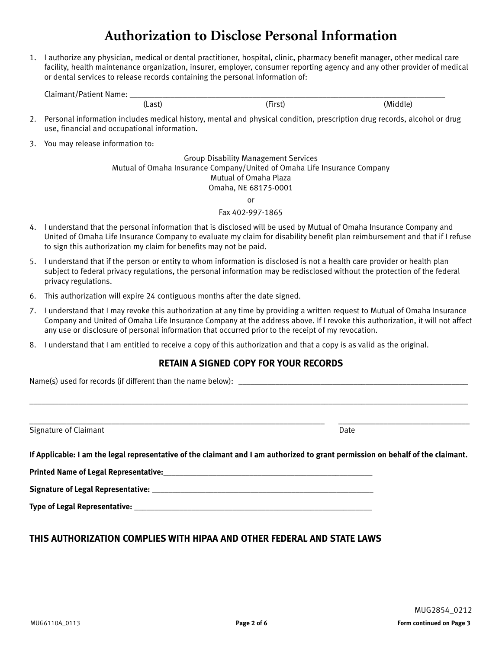# **Authorization to Disclose Personal Information**

1. I authorize any physician, medical or dental practitioner, hospital, clinic, pharmacy benefit manager, other medical care facility, health maintenance organization, insurer, employer, consumer reporting agency and any other provider of medical or dental services to release records containing the personal information of:

| $\sim$<br>. |        |   |
|-------------|--------|---|
|             | $\sim$ | M |

- 2. Personal information includes medical history, mental and physical condition, prescription drug records, alcohol or drug use, financial and occupational information.
- 3. You may release information to:

Group Disability Management Services Mutual of Omaha Insurance Company/United of Omaha Life Insurance Company Mutual of Omaha Plaza Omaha, NE 68175-0001

or

Fax 402-997-1865

- 4. I understand that the personal information that is disclosed will be used by Mutual of Omaha Insurance Company and United of Omaha Life Insurance Company to evaluate my claim for disability benefit plan reimbursement and that if I refuse to sign this authorization my claim for benefits may not be paid.
- 5. I understand that if the person or entity to whom information is disclosed is not a health care provider or health plan subject to federal privacy regulations, the personal information may be redisclosed without the protection of the federal privacy regulations.
- 6. This authorization will expire 24 contiguous months after the date signed.
- 7. I understand that I may revoke this authorization at any time by providing a written request to Mutual of Omaha Insurance Company and United of Omaha Life Insurance Company at the address above. If I revoke this authorization, it will not affect any use or disclosure of personal information that occurred prior to the receipt of my revocation.
- 8. I understand that I am entitled to receive a copy of this authorization and that a copy is as valid as the original.

# **RETAIN A SIGNED COPY FOR YOUR RECORDS**

\_\_\_\_\_\_\_\_\_\_\_\_\_\_\_\_\_\_\_\_\_\_\_\_\_\_\_\_\_\_\_\_\_\_\_\_\_\_\_\_\_\_\_\_\_\_\_\_\_\_\_\_\_\_\_\_\_\_\_\_\_\_\_\_\_\_\_\_\_\_\_\_\_\_\_\_\_\_\_\_\_\_\_\_\_\_\_\_\_\_\_\_\_\_\_\_\_\_\_\_\_\_\_\_\_\_\_

Name(s) used for records (if different than the name below): \_\_\_\_\_\_\_\_\_\_\_\_\_\_\_\_\_\_\_\_\_\_\_\_\_\_\_\_\_\_\_\_\_\_\_\_\_\_\_\_\_\_\_\_\_\_\_\_\_\_\_\_\_\_\_\_

Signature of Claimant **Date** Date of Claimant **Date of Claimant** Date of Claimant **Date of Claimant** Date of Claimant

\_\_\_\_\_\_\_\_\_\_\_\_\_\_\_\_\_\_\_\_\_\_\_\_\_\_\_\_\_\_\_\_\_\_\_\_\_\_\_\_\_\_\_\_\_\_\_\_\_\_\_\_\_\_\_\_\_\_\_\_\_\_\_\_\_\_\_\_\_\_\_\_ \_\_\_\_\_\_\_\_\_\_\_\_\_\_\_\_\_\_\_\_\_\_\_\_\_\_\_\_\_\_\_\_

**If Applicable: I am the legal representative of the claimant and I am authorized to grant permission on behalf of the claimant.**

**Printed Name of Legal Representative:\_\_\_\_\_\_\_\_\_\_\_\_\_\_\_\_\_\_\_\_\_\_\_\_\_\_\_\_\_\_\_\_\_\_\_\_\_\_\_\_\_\_\_\_\_\_\_\_\_\_\_**

**Signature of Legal Representative: \_\_\_\_\_\_\_\_\_\_\_\_\_\_\_\_\_\_\_\_\_\_\_\_\_\_\_\_\_\_\_\_\_\_\_\_\_\_\_\_\_\_\_\_\_\_\_\_\_\_\_\_\_\_**

**Type of Legal Representative: \_\_\_\_\_\_\_\_\_\_\_\_\_\_\_\_\_\_\_\_\_\_\_\_\_\_\_\_\_\_\_\_\_\_\_\_\_\_\_\_\_\_\_\_\_\_\_\_\_\_\_\_\_\_\_\_\_\_**

# **THIS AUTHORIZATION COMPLIES WITH HIPAA AND OTHER FEDERAL AND STATE LAWS**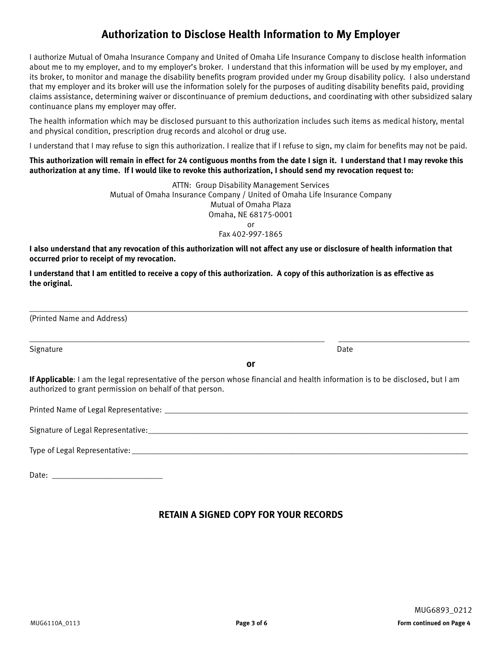# **Authorization to Disclose Health Information to My Employer**

I authorize Mutual of Omaha Insurance Company and United of Omaha Life Insurance Company to disclose health information about me to my employer, and to my employer's broker. I understand that this information will be used by my employer, and its broker, to monitor and manage the disability benefits program provided under my Group disability policy. I also understand that my employer and its broker will use the information solely for the purposes of auditing disability benefits paid, providing claims assistance, determining waiver or discontinuance of premium deductions, and coordinating with other subsidized salary continuance plans my employer may offer.

The health information which may be disclosed pursuant to this authorization includes such items as medical history, mental and physical condition, prescription drug records and alcohol or drug use.

I understand that I may refuse to sign this authorization. I realize that if I refuse to sign, my claim for benefits may not be paid.

#### **This authorization will remain in effect for 24 contiguous months from the date I sign it. I understand that I may revoke this authorization at any time. If I would like to revoke this authorization, I should send my revocation request to:**

ATTN: Group Disability Management Services Mutual of Omaha Insurance Company / United of Omaha Life Insurance Company Mutual of Omaha Plaza Omaha, NE 68175-0001 or Fax 402-997-1865

**I also understand that any revocation of this authorization will not affect any use or disclosure of health information that occurred prior to receipt of my revocation.**

**I understand that I am entitled to receive a copy of this authorization. A copy of this authorization is as effective as the original.**

(Printed Name and Address)

Signature Date Date of the Date of the Date of the Date of the Date of the Date of the Date of the Date of the

**or**

\_\_\_\_\_\_\_\_\_\_\_\_\_\_\_\_\_\_\_\_\_\_\_\_\_\_\_\_\_\_\_\_\_\_\_\_\_\_\_\_\_\_\_\_\_\_\_\_\_\_\_\_\_\_\_\_\_\_\_\_\_\_\_\_\_\_\_\_\_\_\_\_\_\_\_\_\_\_\_\_\_\_\_\_\_\_\_\_\_\_\_\_\_\_\_\_\_\_\_\_\_\_\_\_\_\_\_

\_\_\_\_\_\_\_\_\_\_\_\_\_\_\_\_\_\_\_\_\_\_\_\_\_\_\_\_\_\_\_\_\_\_\_\_\_\_\_\_\_\_\_\_\_\_\_\_\_\_\_\_\_\_\_\_\_\_\_\_\_\_\_\_\_\_\_\_\_\_\_\_ \_\_\_\_\_\_\_\_\_\_\_\_\_\_\_\_\_\_\_\_\_\_\_\_\_\_\_\_\_\_\_\_

**If Applicable**: I am the legal representative of the person whose financial and health information is to be disclosed, but I am authorized to grant permission on behalf of that person.

| Printed Name of Legal Representative: |
|---------------------------------------|
|                                       |
| Signature of Legal Representative:    |
|                                       |
| Type of Legal Representative:         |

Date:  $\Box$ 

# **RETAIN A SIGNED COPY FOR YOUR RECORDS**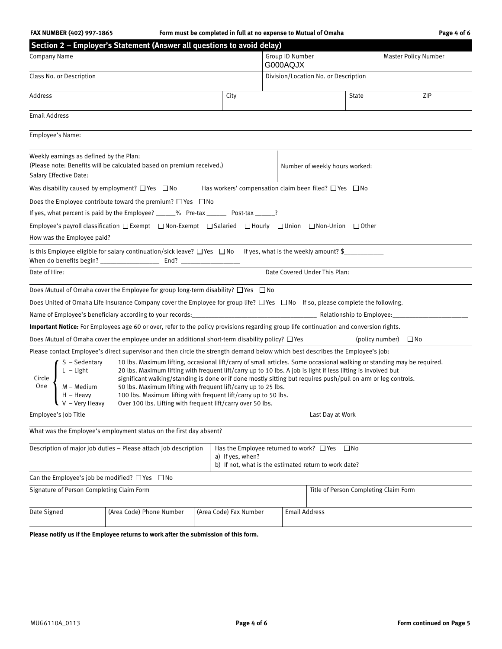### **FAX NUMBER (402) 997-1865 Form must be completed in full at no expense to Mutual of Omaha Page 4 of 6**

| Section 2 - Employer's Statement (Answer all questions to avoid delay)                                                                                                                                                                                                                                                                                                                                                                                                                                                                                                                                                                                                                                                                                                                                       |                        |          |                                                                                                   |                  |                             |  |  |
|--------------------------------------------------------------------------------------------------------------------------------------------------------------------------------------------------------------------------------------------------------------------------------------------------------------------------------------------------------------------------------------------------------------------------------------------------------------------------------------------------------------------------------------------------------------------------------------------------------------------------------------------------------------------------------------------------------------------------------------------------------------------------------------------------------------|------------------------|----------|---------------------------------------------------------------------------------------------------|------------------|-----------------------------|--|--|
| Company Name                                                                                                                                                                                                                                                                                                                                                                                                                                                                                                                                                                                                                                                                                                                                                                                                 |                        | G000AQJX | Group ID Number                                                                                   |                  | <b>Master Policy Number</b> |  |  |
| Class No. or Description                                                                                                                                                                                                                                                                                                                                                                                                                                                                                                                                                                                                                                                                                                                                                                                     |                        |          | Division/Location No. or Description                                                              |                  |                             |  |  |
| Address                                                                                                                                                                                                                                                                                                                                                                                                                                                                                                                                                                                                                                                                                                                                                                                                      | City                   |          |                                                                                                   | ZIP<br>State     |                             |  |  |
| <b>Email Address</b>                                                                                                                                                                                                                                                                                                                                                                                                                                                                                                                                                                                                                                                                                                                                                                                         |                        |          |                                                                                                   |                  |                             |  |  |
| Employee's Name:                                                                                                                                                                                                                                                                                                                                                                                                                                                                                                                                                                                                                                                                                                                                                                                             |                        |          |                                                                                                   |                  |                             |  |  |
| Weekly earnings as defined by the Plan:<br>(Please note: Benefits will be calculated based on premium received.)                                                                                                                                                                                                                                                                                                                                                                                                                                                                                                                                                                                                                                                                                             |                        |          | Number of weekly hours worked: _________                                                          |                  |                             |  |  |
| Was disability caused by employment? $\Box$ Yes $\Box$ No Has workers' compensation claim been filed? $\Box$ Yes $\Box$ No                                                                                                                                                                                                                                                                                                                                                                                                                                                                                                                                                                                                                                                                                   |                        |          |                                                                                                   |                  |                             |  |  |
| Does the Employee contribute toward the premium? $\Box$ Yes $\Box$ No                                                                                                                                                                                                                                                                                                                                                                                                                                                                                                                                                                                                                                                                                                                                        |                        |          |                                                                                                   |                  |                             |  |  |
| If yes, what percent is paid by the Employee? ______% Pre-tax _________ Post-tax ______?                                                                                                                                                                                                                                                                                                                                                                                                                                                                                                                                                                                                                                                                                                                     |                        |          |                                                                                                   |                  |                             |  |  |
| Employee's payroll classification □ Exempt □ Non-Exempt □ Salaried □ Hourly □ Union □ Non-Union □ Other                                                                                                                                                                                                                                                                                                                                                                                                                                                                                                                                                                                                                                                                                                      |                        |          |                                                                                                   |                  |                             |  |  |
| How was the Employee paid?                                                                                                                                                                                                                                                                                                                                                                                                                                                                                                                                                                                                                                                                                                                                                                                   |                        |          |                                                                                                   |                  |                             |  |  |
| Is this Employee eligible for salary continuation/sick leave? $\Box$ Yes $\Box$ No If yes, what is the weekly amount? \$                                                                                                                                                                                                                                                                                                                                                                                                                                                                                                                                                                                                                                                                                     |                        |          |                                                                                                   |                  |                             |  |  |
| Date of Hire:                                                                                                                                                                                                                                                                                                                                                                                                                                                                                                                                                                                                                                                                                                                                                                                                |                        |          | Date Covered Under This Plan:                                                                     |                  |                             |  |  |
| Does Mutual of Omaha cover the Employee for group long-term disability? $\Box$ Yes $\Box$ No                                                                                                                                                                                                                                                                                                                                                                                                                                                                                                                                                                                                                                                                                                                 |                        |          |                                                                                                   |                  |                             |  |  |
| Does United of Omaha Life Insurance Company cover the Employee for group life? □ Yes □ No If so, please complete the following.                                                                                                                                                                                                                                                                                                                                                                                                                                                                                                                                                                                                                                                                              |                        |          |                                                                                                   |                  |                             |  |  |
| Name of Employee's beneficiary according to your records:<br>Name of Employee's beneficiary according to your records:<br>2011 - 2022 - 2022 - 2022 - 2022 - 2022 - 2023 - 2023 - 2023 - 2023 - 2023 - 2023 - 2023 - 2023 - 2023 -                                                                                                                                                                                                                                                                                                                                                                                                                                                                                                                                                                           |                        |          |                                                                                                   |                  |                             |  |  |
| Important Notice: For Employees age 60 or over, refer to the policy provisions regarding group life continuation and conversion rights.                                                                                                                                                                                                                                                                                                                                                                                                                                                                                                                                                                                                                                                                      |                        |          |                                                                                                   |                  |                             |  |  |
| Does Mutual of Omaha cover the employee under an additional short-term disability policy? $\Box$ Yes _____________(policy number) $\Box$ No                                                                                                                                                                                                                                                                                                                                                                                                                                                                                                                                                                                                                                                                  |                        |          |                                                                                                   |                  |                             |  |  |
| Please contact Employee's direct supervisor and then circle the strength demand below which best describes the Employee's job:<br>10 lbs. Maximum lifting, occasional lift/carry of small articles. Some occasional walking or standing may be required.<br>$S - Sedentary$<br>$L - Light$<br>M – Medium<br>20 lbs. Maximum lifting with frequent lift/carry up to 10 lbs. A job is light if less lifting is involved but<br>Circle  <br>significant walking/standing is done or if done mostly sitting but requires push/pull on arm or leg controls.<br>– Medium<br>H – Heavy<br>V – Very Heavy<br>One<br>50 lbs. Maximum lifting with frequent lift/carry up to 25 lbs.<br>100 lbs. Maximum lifting with frequent lift/carry up to 50 lbs.<br>Over 100 lbs. Lifting with frequent lift/carry over 50 lbs. |                        |          |                                                                                                   |                  |                             |  |  |
| Employee's Job Title                                                                                                                                                                                                                                                                                                                                                                                                                                                                                                                                                                                                                                                                                                                                                                                         |                        |          |                                                                                                   | Last Day at Work |                             |  |  |
| What was the Employee's employment status on the first day absent?                                                                                                                                                                                                                                                                                                                                                                                                                                                                                                                                                                                                                                                                                                                                           |                        |          |                                                                                                   |                  |                             |  |  |
| Description of major job duties - Please attach job description                                                                                                                                                                                                                                                                                                                                                                                                                                                                                                                                                                                                                                                                                                                                              | a) If yes, when?       |          | Has the Employee returned to work? □ Yes<br>b) If not, what is the estimated return to work date? | $\Box$ No        |                             |  |  |
| Can the Employee's job be modified? $\Box$ Yes $\Box$ No                                                                                                                                                                                                                                                                                                                                                                                                                                                                                                                                                                                                                                                                                                                                                     |                        |          |                                                                                                   |                  |                             |  |  |
| Signature of Person Completing Claim Form                                                                                                                                                                                                                                                                                                                                                                                                                                                                                                                                                                                                                                                                                                                                                                    |                        |          | Title of Person Completing Claim Form                                                             |                  |                             |  |  |
| Date Signed<br>(Area Code) Phone Number                                                                                                                                                                                                                                                                                                                                                                                                                                                                                                                                                                                                                                                                                                                                                                      | (Area Code) Fax Number |          | <b>Email Address</b>                                                                              |                  |                             |  |  |
|                                                                                                                                                                                                                                                                                                                                                                                                                                                                                                                                                                                                                                                                                                                                                                                                              |                        |          |                                                                                                   |                  |                             |  |  |

**Please notify us if the Employee returns to work after the submission of this form.**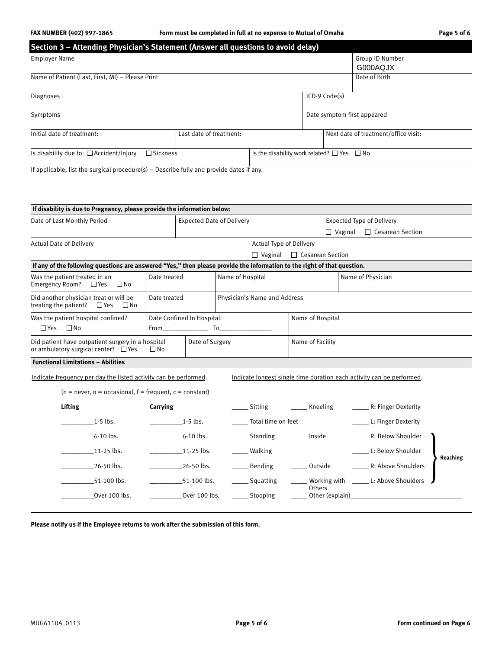# **FAX NUMBER (402) 997-1865 Form must be completed in full at no expense to Mutual of Omaha Page 5 of 6**

| Section 3 - Attending Physician's Statement (Answer all questions to avoid delay) |                                                      |                             |                                      |                 |  |
|-----------------------------------------------------------------------------------|------------------------------------------------------|-----------------------------|--------------------------------------|-----------------|--|
| <b>Employer Name</b>                                                              |                                                      |                             |                                      | Group ID Number |  |
|                                                                                   |                                                      |                             |                                      | G000AQJX        |  |
| Name of Patient (Last, First, MI) - Please Print                                  |                                                      |                             |                                      | Date of Birth   |  |
| <b>Diagnoses</b>                                                                  |                                                      |                             | ICD-9 Code(s)                        |                 |  |
| Symptoms                                                                          |                                                      | Date symptom first appeared |                                      |                 |  |
| Initial date of treatment:                                                        | Last date of treatment:                              |                             | Next date of treatment/office visit: |                 |  |
| Is disability due to: $\Box$ Accident/Injury<br>$\Box$ Sickness                   | Is the disability work related? $\Box$ Yes $\Box$ No |                             |                                      |                 |  |

If applicable, list the surgical procedure(s) – Describe fully and provide dates if any.

| If disability is due to Pregnancy, please provide the information below:                                                 |                                  |                              |                 |                                           |                                  |                  |                                                                       |          |  |
|--------------------------------------------------------------------------------------------------------------------------|----------------------------------|------------------------------|-----------------|-------------------------------------------|----------------------------------|------------------|-----------------------------------------------------------------------|----------|--|
| Date of Last Monthly Period                                                                                              | <b>Expected Date of Delivery</b> |                              |                 |                                           | <b>Expected Type of Delivery</b> |                  |                                                                       |          |  |
|                                                                                                                          |                                  |                              |                 | $\Box$ Vaginal<br>$\Box$ Cesarean Section |                                  |                  |                                                                       |          |  |
| <b>Actual Date of Delivery</b>                                                                                           |                                  |                              |                 | <b>Actual Type of Delivery</b>            |                                  |                  |                                                                       |          |  |
|                                                                                                                          |                                  |                              |                 | $\Box$ Vaginal                            | $\Box$ Cesarean Section          |                  |                                                                       |          |  |
| If any of the following questions are answered "Yes," then please provide the information to the right of that question. |                                  |                              |                 |                                           |                                  |                  |                                                                       |          |  |
| Was the patient treated in an<br>Date treated<br><b>Emergency Room?</b><br>$\square$ Yes<br>$\square$ No                 |                                  | Name of Hospital             |                 |                                           | Name of Physician                |                  |                                                                       |          |  |
| Did another physician treat or will be<br>treating the patient?<br>$\square$ Yes<br>$\Box$ No                            | Date treated                     | Physician's Name and Address |                 |                                           |                                  |                  |                                                                       |          |  |
| Was the patient hospital confined?                                                                                       |                                  | Date Confined In Hospital:   |                 |                                           | Name of Hospital                 |                  |                                                                       |          |  |
| $\Box$ Yes $\Box$ No                                                                                                     |                                  |                              |                 |                                           |                                  |                  |                                                                       |          |  |
| Did patient have outpatient surgery in a hospital<br>or ambulatory surgical center? $\Box$ Yes<br>$\square$ No           |                                  |                              | Date of Surgery |                                           |                                  | Name of Facility |                                                                       |          |  |
| <b>Functional Limitations - Abilities</b>                                                                                |                                  |                              |                 |                                           |                                  |                  |                                                                       |          |  |
| Indicate frequency per day the listed activity can be performed.                                                         |                                  |                              |                 |                                           |                                  |                  | Indicate longest single time duration each activity can be performed. |          |  |
| $(n = never, o = occasional, f = frequent, c = constant)$                                                                |                                  |                              |                 |                                           |                                  |                  |                                                                       |          |  |
| <b>Lifting</b>                                                                                                           | Carrying                         |                              |                 | Sitting                                   | Kneeling                         |                  | R: Finger Dexterity                                                   |          |  |
| $1-5$ lbs.                                                                                                               |                                  | $1-5$ lbs.                   |                 | Total time on feet                        |                                  |                  | L: Finger Dexterity                                                   |          |  |
| $6-10$ lbs.                                                                                                              |                                  | $6-10$ lbs.                  |                 | Standing                                  | Inside                           |                  | R: Below Shoulder                                                     |          |  |
| 11-25 lbs.                                                                                                               |                                  | $11-25$ lbs.                 |                 | Walking                                   |                                  |                  | L: Below Shoulder                                                     | Reaching |  |
| 26-50 lbs.                                                                                                               |                                  | 26-50 lbs.                   |                 | Bending                                   | Outside                          |                  | R: Above Shoulders                                                    |          |  |
| 51-100 lbs.                                                                                                              |                                  | 51-100 lbs.                  |                 | Squatting                                 | Others                           | Working with     | L: Above Shoulders                                                    |          |  |
| Over 100 lbs.                                                                                                            |                                  | Over 100 lbs.                |                 | Stooping                                  |                                  | Other (explain)  |                                                                       |          |  |

**Please notify us if the Employee returns to work after the submission of this form.**